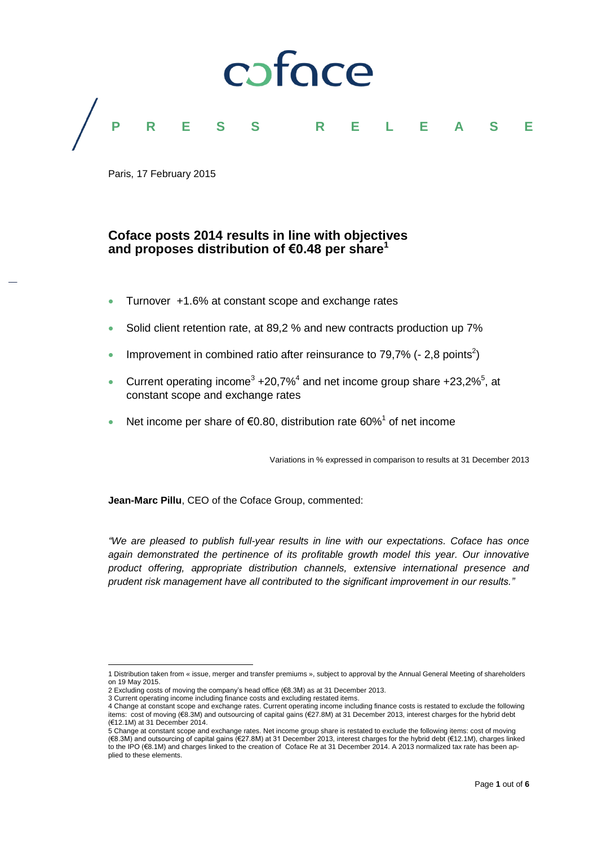

Paris, 17 February 2015

#### **Coface posts 2014 results in line with objectives and proposes distribution of €0.48 per share<sup>1</sup>**

- Turnover +1.6% at constant scope and exchange rates
- Solid client retention rate, at 89,2 % and new contracts production up 7%
- Improvement in combined ratio after reinsurance to 79,7% (- 2,8 points<sup>2</sup>)
- Current operating income<sup>3</sup> +20,7%<sup>4</sup> and net income group share +23,2%<sup>5</sup>, at constant scope and exchange rates
- Net income per share of  $\epsilon$ 0.80, distribution rate 60%<sup>1</sup> of net income

Variations in % expressed in comparison to results at 31 December 2013

**Jean-Marc Pillu**, CEO of the Coface Group, commented:

*"We are pleased to publish full-year results in line with our expectations. Coface has once again demonstrated the pertinence of its profitable growth model this year. Our innovative product offering, appropriate distribution channels, extensive international presence and prudent risk management have all contributed to the significant improvement in our results."*

 $\overline{a}$ 1 Distribution taken from « issue, merger and transfer premiums », subject to approval by the Annual General Meeting of shareholders on 19 May 2015.

<sup>2</sup> Excluding costs of moving the company's head office (€8.3M) as at 31 December 2013.

<sup>3</sup> Current operating income including finance costs and excluding restated items. 4 Change at constant scope and exchange rates. Current operating income including finance costs is restated to exclude the following items: cost of moving (€8.3M) and outsourcing of capital gains (€27.8M) at 31 December 2013, interest charges for the hybrid debt (€12.1M) at 31 December 2014.

<sup>5</sup> Change at constant scope and exchange rates. Net income group share is restated to exclude the following items: cost of moving (€8.3M) and outsourcing of capital gains (€27.8M) at 31 December 2013, interest charges for the hybrid debt (€12.1M), charges linked to the IPO (€8.1M) and charges linked to the creation of Coface Re at 31 December 2014. A 2013 normalized tax rate has been applied to these elements.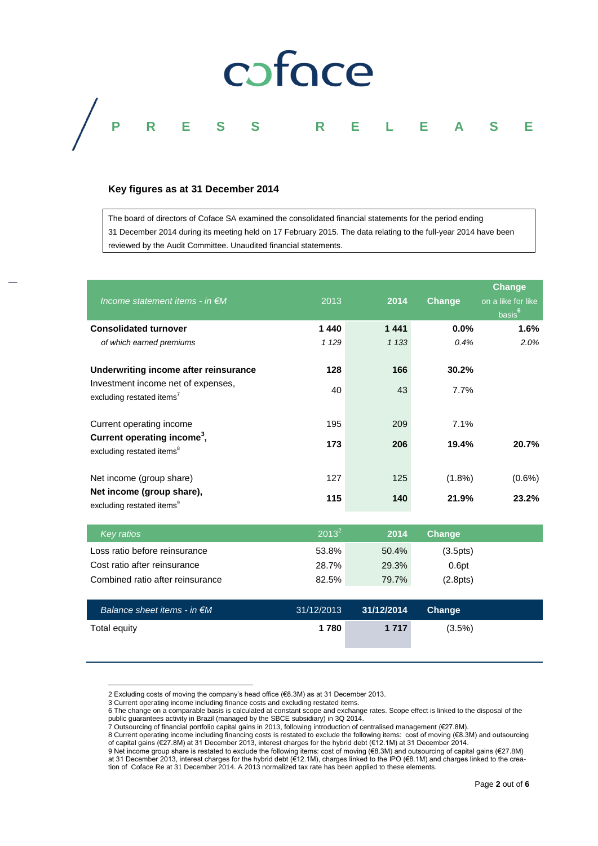### coface **PRESS RELEASE**

#### **Key figures as at 31 December 2014**

The board of directors of Coface SA examined the consolidated financial statements for the period ending 31 December 2014 during its meeting held on 17 February 2015. The data relating to the full-year 2014 have been reviewed by the Audit Committee. Unaudited financial statements.

|  | Income statement items - in $\notin M$                                                                               | 2013       | 2014       | <b>Change</b>      | <b>Change</b><br>on a like for like<br>basis <sup>6</sup> |
|--|----------------------------------------------------------------------------------------------------------------------|------------|------------|--------------------|-----------------------------------------------------------|
|  | <b>Consolidated turnover</b>                                                                                         | 1440       | 1 4 4 1    | 0.0%               | 1.6%                                                      |
|  | of which earned premiums                                                                                             | 1 1 2 9    | 1 1 3 3    | 0.4%               | 2.0%                                                      |
|  | Underwriting income after reinsurance<br>Investment income net of expenses,<br>excluding restated items <sup>7</sup> | 128<br>40  | 166<br>43  | 30.2%<br>7.7%      |                                                           |
|  | Current operating income<br>Current operating income <sup>3</sup> ,<br>excluding restated items <sup>8</sup>         | 195<br>173 | 209<br>206 | 7.1%<br>19.4%      | 20.7%                                                     |
|  | Net income (group share)<br>Net income (group share),                                                                | 127<br>115 | 125<br>140 | $(1.8\%)$<br>21.9% | $(0.6\%)$<br>23.2%                                        |
|  | excluding restated items <sup>9</sup>                                                                                |            |            |                    |                                                           |
|  | <b>Key ratios</b>                                                                                                    | $2013^2$   | 2014       | <b>Change</b>      |                                                           |
|  | Loss ratio before reinsurance                                                                                        | 53.8%      | 50.4%      | (3.5pts)           |                                                           |
|  | Cost ratio after reinsurance                                                                                         | 28.7%      | 29.3%      | 0.6pt              |                                                           |
|  | Combined ratio after reinsurance                                                                                     | 82.5%      | 79.7%      | (2.8pts)           |                                                           |
|  | Balance sheet items - in $\notin M$                                                                                  | 31/12/2013 | 31/12/2014 | <b>Change</b>      |                                                           |

| Total equity | 1 780 | 1 7 1 7 | (3.5%) |
|--------------|-------|---------|--------|
|--------------|-------|---------|--------|

 $\overline{a}$ 2 Excluding costs of moving the company's head office (€8.3M) as at 31 December 2013.

<sup>3</sup> Current operating income including finance costs and excluding restated items.

<sup>6</sup> The change on a comparable basis is calculated at constant scope and exchange rates. Scope effect is linked to the disposal of the public guarantees activity in Brazil (managed by the SBCE subsidiary) in 3Q 2014.

<sup>7</sup> Outsourcing of financial portfolio capital gains in 2013, following introduction of centralised management (€27.8M).

<sup>8</sup> Current operating income including financing costs is restated to exclude the following items: cost of moving (€8.3M) and outsourcing of capital gains (€27.8M) at 31 December 2013, interest charges for the hybrid debt (€12.1M) at 31 December 2014.

<sup>9</sup> Net income group share is restated to exclude the following items: cost of moving (€8.3M) and outsourcing of capital gains (€27.8M) at 31 December 2013, interest charges for the hybrid debt (€12.1M), charges linked to the IPO (€8.1M) and charges linked to the creation of Coface Re at 31 December 2014. A 2013 normalized tax rate has been applied to these elements.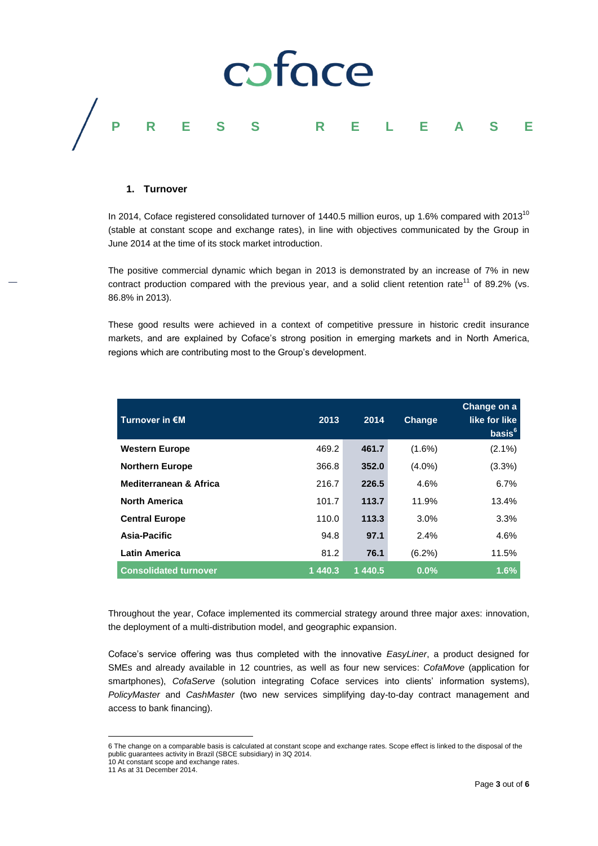

#### **1. Turnover**

In 2014, Coface registered consolidated turnover of 1440.5 million euros, up 1.6% compared with 2013<sup>10</sup> (stable at constant scope and exchange rates), in line with objectives communicated by the Group in June 2014 at the time of its stock market introduction.

The positive commercial dynamic which began in 2013 is demonstrated by an increase of 7% in new contract production compared with the previous year, and a solid client retention rate<sup>11</sup> of 89.2% (vs. 86.8% in 2013).

These good results were achieved in a context of competitive pressure in historic credit insurance markets, and are explained by Coface's strong position in emerging markets and in North America, regions which are contributing most to the Group's development.

| Turnover in €M                    | 2013    | 2014   | <b>Change</b> | Change on a<br>like for like<br>basis <sup>6</sup> |
|-----------------------------------|---------|--------|---------------|----------------------------------------------------|
| <b>Western Europe</b>             | 469.2   | 461.7  | $(1.6\%)$     | $(2.1\%)$                                          |
| <b>Northern Europe</b>            | 366.8   | 352.0  | $(4.0\%)$     | (3.3%)                                             |
| <b>Mediterranean &amp; Africa</b> | 216.7   | 226.5  | 4.6%          | 6.7%                                               |
| <b>North America</b>              | 101.7   | 113.7  | 11.9%         | 13.4%                                              |
| <b>Central Europe</b>             | 110.0   | 113.3  | 3.0%          | 3.3%                                               |
| Asia-Pacific                      | 94.8    | 97.1   | 2.4%          | 4.6%                                               |
| <b>Latin America</b>              | 81.2    | 76.1   | $(6.2\%)$     | 11.5%                                              |
| <b>Consolidated turnover</b>      | 1 440.3 | 1440.5 | $0.0\%$       | 1.6%                                               |

Throughout the year, Coface implemented its commercial strategy around three major axes: innovation, the deployment of a multi-distribution model, and geographic expansion.

Coface's service offering was thus completed with the innovative *EasyLiner*, a product designed for SMEs and already available in 12 countries, as well as four new services: *CofaMove* (application for smartphones), *CofaServe* (solution integrating Coface services into clients' information systems), *PolicyMaster* and *CashMaster* (two new services simplifying day-to-day contract management and access to bank financing).

l

<sup>6</sup> The change on a comparable basis is calculated at constant scope and exchange rates. Scope effect is linked to the disposal of the public guarantees activity in Brazil (SBCE subsidiary) in 3Q 2014.

<sup>10</sup> At constant scope and exchange rates.

<sup>11</sup> As at 31 December 2014.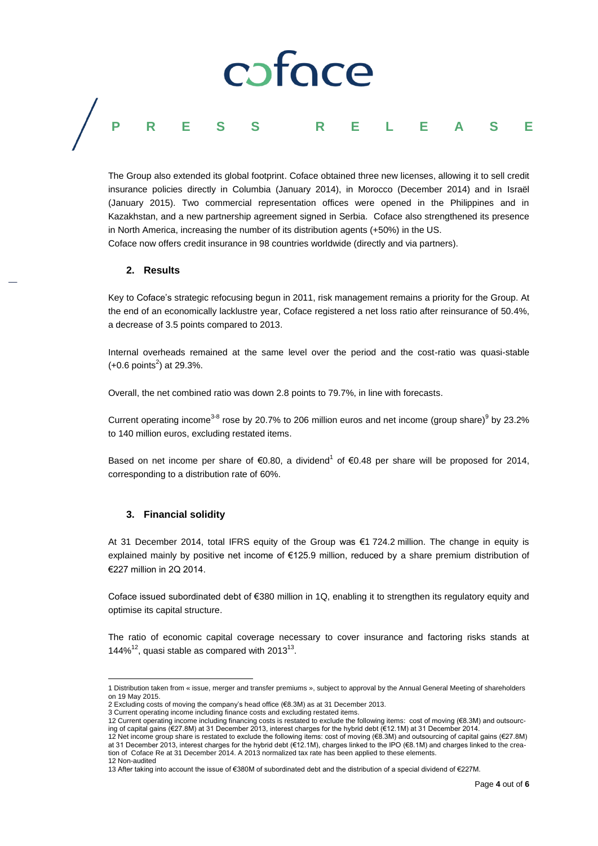# caface

### **PRESS RELEASE**

The Group also extended its global footprint. Coface obtained three new licenses, allowing it to sell credit insurance policies directly in Columbia (January 2014), in Morocco (December 2014) and in Israël (January 2015). Two commercial representation offices were opened in the Philippines and in Kazakhstan, and a new partnership agreement signed in Serbia. Coface also strengthened its presence in North America, increasing the number of its distribution agents (+50%) in the US. Coface now offers credit insurance in 98 countries worldwide (directly and via partners).

#### **2. Results**

Key to Coface's strategic refocusing begun in 2011, risk management remains a priority for the Group. At the end of an economically lacklustre year, Coface registered a net loss ratio after reinsurance of 50.4%, a decrease of 3.5 points compared to 2013.

Internal overheads remained at the same level over the period and the cost-ratio was quasi-stable  $(+0.6 \text{ points}^2)$  at 29.3%.

Overall, the net combined ratio was down 2.8 points to 79.7%, in line with forecasts.

Current operating income<sup>3-8</sup> rose by 20.7% to 206 million euros and net income (group share)<sup>9</sup> by 23.2% to 140 million euros, excluding restated items.

Based on net income per share of  $\epsilon$ 0.80, a dividend<sup>1</sup> of  $\epsilon$ 0.48 per share will be proposed for 2014, corresponding to a distribution rate of 60%.

#### **3. Financial solidity**

l

At 31 December 2014, total IFRS equity of the Group was €1 724.2 million. The change in equity is explained mainly by positive net income of €125.9 million, reduced by a share premium distribution of €227 million in 2Q 2014.

Coface issued subordinated debt of €380 million in 1Q, enabling it to strengthen its regulatory equity and optimise its capital structure.

The ratio of economic capital coverage necessary to cover insurance and factoring risks stands at 144%<sup>12</sup>, quasi stable as compared with 2013<sup>13</sup>.

<sup>1</sup> Distribution taken from « issue, merger and transfer premiums », subject to approval by the Annual General Meeting of shareholders on 19 May 2015.

<sup>2</sup> Excluding costs of moving the company's head office (€8.3M) as at 31 December 2013. 3 Current operating income including finance costs and excluding restated items.

<sup>12</sup> Current operating income including financing costs is restated to exclude the following items: cost of moving (€8.3M) and outsourcing of capital gains (€27.8M) at 31 December 2013, interest charges for the hybrid debt (€12.1M) at 31 December 2014.

<sup>12</sup> Net income group share is restated to exclude the following items: cost of moving (€8.3M) and outsourcing of capital gains (€27.8M) at 31 December 2013, interest charges for the hybrid debt (€12.1M), charges linked to the IPO (€8.1M) and charges linked to the creation of Coface Re at 31 December 2014. A 2013 normalized tax rate has been applied to these elements.

<sup>12</sup> Non-audited 13 After taking into account the issue of €380M of subordinated debt and the distribution of a special dividend of €227M.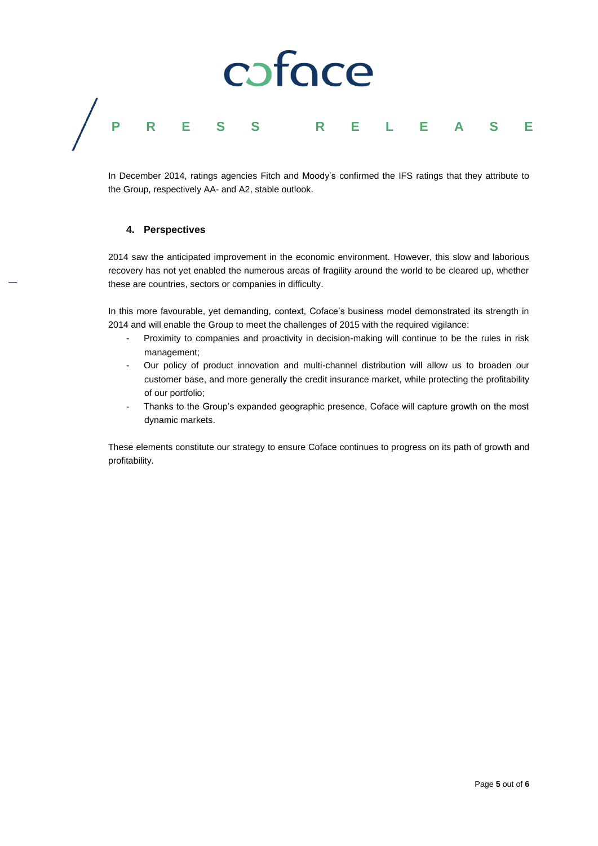## coface **PRESS RELEASE**

In December 2014, ratings agencies Fitch and Moody's confirmed the IFS ratings that they attribute to the Group, respectively AA- and A2, stable outlook.

#### **4. Perspectives**

2014 saw the anticipated improvement in the economic environment. However, this slow and laborious recovery has not yet enabled the numerous areas of fragility around the world to be cleared up, whether these are countries, sectors or companies in difficulty.

In this more favourable, yet demanding, context, Coface's business model demonstrated its strength in 2014 and will enable the Group to meet the challenges of 2015 with the required vigilance:

- Proximity to companies and proactivity in decision-making will continue to be the rules in risk management;
- Our policy of product innovation and multi-channel distribution will allow us to broaden our customer base, and more generally the credit insurance market, while protecting the profitability of our portfolio;
- Thanks to the Group's expanded geographic presence, Coface will capture growth on the most dynamic markets.

These elements constitute our strategy to ensure Coface continues to progress on its path of growth and profitability.